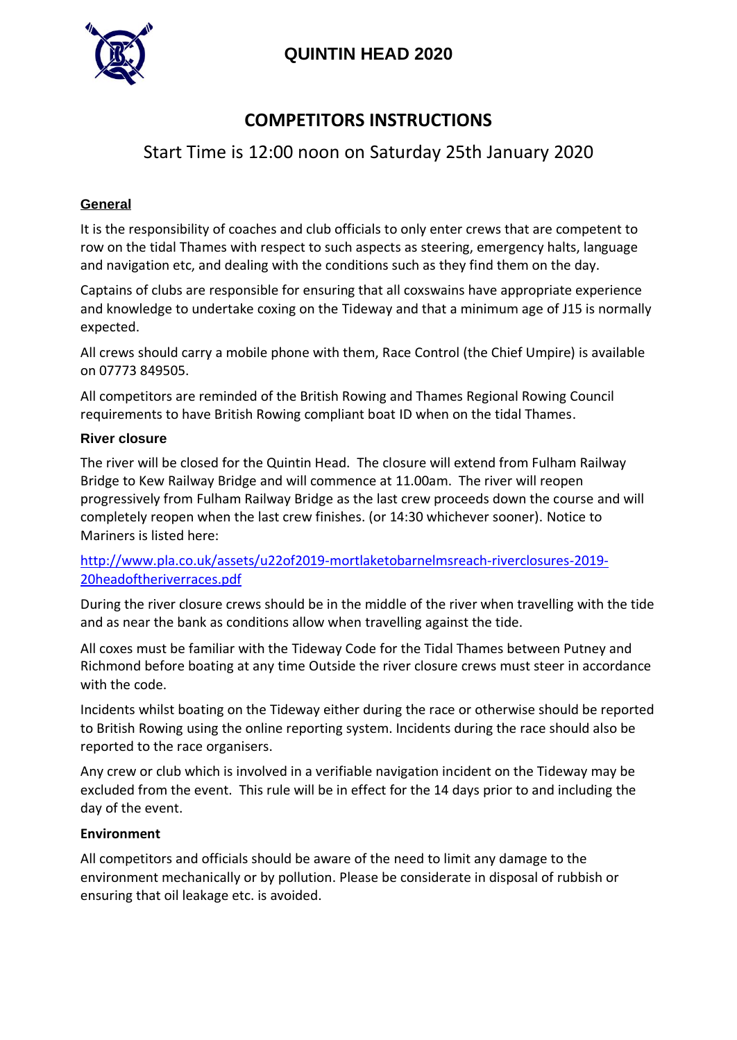

# **QUINTIN HEAD 2020**

# **COMPETITORS INSTRUCTIONS**

# Start Time is 12:00 noon on Saturday 25th January 2020

#### **General**

It is the responsibility of coaches and club officials to only enter crews that are competent to row on the tidal Thames with respect to such aspects as steering, emergency halts, language and navigation etc, and dealing with the conditions such as they find them on the day.

Captains of clubs are responsible for ensuring that all coxswains have appropriate experience and knowledge to undertake coxing on the Tideway and that a minimum age of J15 is normally expected.

All crews should carry a mobile phone with them, Race Control (the Chief Umpire) is available on 07773 849505.

All competitors are reminded of the British Rowing and Thames Regional Rowing Council requirements to have British Rowing compliant boat ID when on the tidal Thames.

#### **River closure**

The river will be closed for the Quintin Head. The closure will extend from Fulham Railway Bridge to Kew Railway Bridge and will commence at 11.00am. The river will reopen progressively from Fulham Railway Bridge as the last crew proceeds down the course and will completely reopen when the last crew finishes. (or 14:30 whichever sooner). Notice to Mariners is listed here:

[http://www.pla.co.uk/assets/u22of2019-mortlaketobarnelmsreach-riverclosures-2019-](http://www.pla.co.uk/assets/u22of2019-mortlaketobarnelmsreach-riverclosures-2019-20headoftheriverraces.pdf) [20headoftheriverraces.pdf](http://www.pla.co.uk/assets/u22of2019-mortlaketobarnelmsreach-riverclosures-2019-20headoftheriverraces.pdf)

During the river closure crews should be in the middle of the river when travelling with the tide and as near the bank as conditions allow when travelling against the tide.

All coxes must be familiar with the Tideway Code for the Tidal Thames between Putney and Richmond before boating at any time Outside the river closure crews must steer in accordance with the code.

Incidents whilst boating on the Tideway either during the race or otherwise should be reported to British Rowing using the online reporting system. Incidents during the race should also be reported to the race organisers.

Any crew or club which is involved in a verifiable navigation incident on the Tideway may be excluded from the event. This rule will be in effect for the 14 days prior to and including the day of the event.

#### **Environment**

All competitors and officials should be aware of the need to limit any damage to the environment mechanically or by pollution. Please be considerate in disposal of rubbish or ensuring that oil leakage etc. is avoided.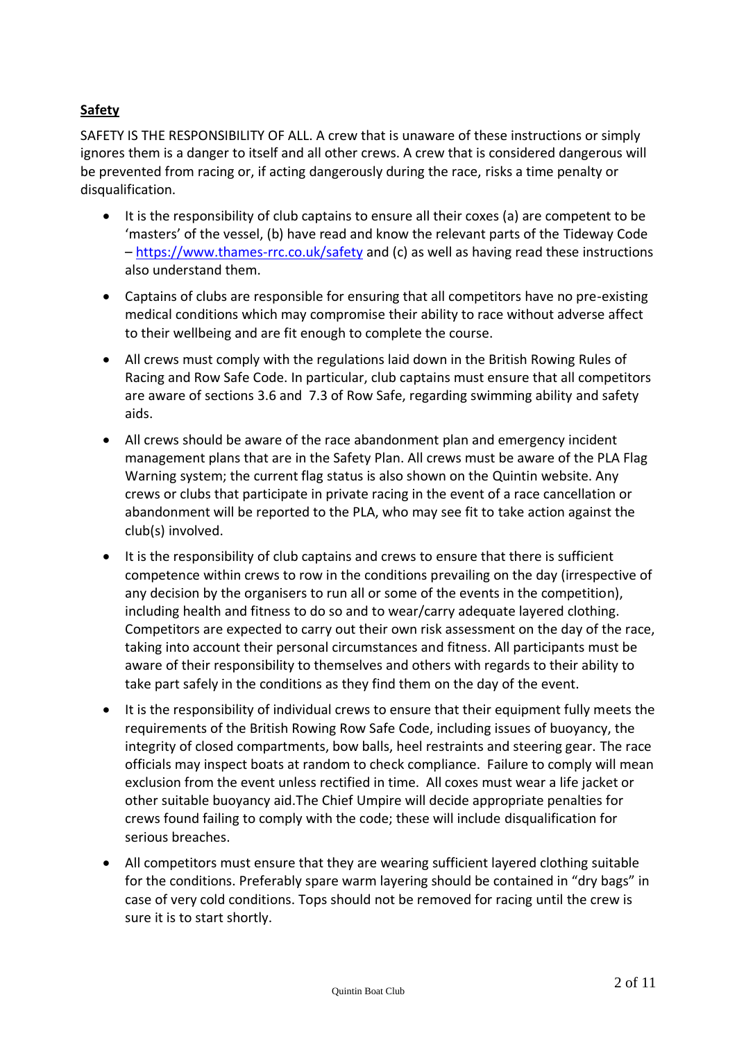## **Safety**

SAFETY IS THE RESPONSIBILITY OF ALL. A crew that is unaware of these instructions or simply ignores them is a danger to itself and all other crews. A crew that is considered dangerous will be prevented from racing or, if acting dangerously during the race, risks a time penalty or disqualification.

- It is the responsibility of club captains to ensure all their coxes (a) are competent to be 'masters' of the vessel, (b) have read and know the relevant parts of the Tideway Code – <https://www.thames-rrc.co.uk/safety> and (c) as well as having read these instructions also understand them.
- Captains of clubs are responsible for ensuring that all competitors have no pre-existing medical conditions which may compromise their ability to race without adverse affect to their wellbeing and are fit enough to complete the course.
- All crews must comply with the regulations laid down in the British Rowing Rules of Racing and Row Safe Code. In particular, club captains must ensure that all competitors are aware of sections 3.6 and 7.3 of Row Safe, regarding swimming ability and safety aids.
- All crews should be aware of the race abandonment plan and emergency incident management plans that are in the Safety Plan. All crews must be aware of the PLA Flag Warning system; the current flag status is also shown on the Quintin website. Any crews or clubs that participate in private racing in the event of a race cancellation or abandonment will be reported to the PLA, who may see fit to take action against the club(s) involved.
- It is the responsibility of club captains and crews to ensure that there is sufficient competence within crews to row in the conditions prevailing on the day (irrespective of any decision by the organisers to run all or some of the events in the competition), including health and fitness to do so and to wear/carry adequate layered clothing. Competitors are expected to carry out their own risk assessment on the day of the race, taking into account their personal circumstances and fitness. All participants must be aware of their responsibility to themselves and others with regards to their ability to take part safely in the conditions as they find them on the day of the event.
- It is the responsibility of individual crews to ensure that their equipment fully meets the requirements of the British Rowing Row Safe Code, including issues of buoyancy, the integrity of closed compartments, bow balls, heel restraints and steering gear. The race officials may inspect boats at random to check compliance. Failure to comply will mean exclusion from the event unless rectified in time. All coxes must wear a life jacket or other suitable buoyancy aid.The Chief Umpire will decide appropriate penalties for crews found failing to comply with the code; these will include disqualification for serious breaches.
- All competitors must ensure that they are wearing sufficient layered clothing suitable for the conditions. Preferably spare warm layering should be contained in "dry bags" in case of very cold conditions. Tops should not be removed for racing until the crew is sure it is to start shortly.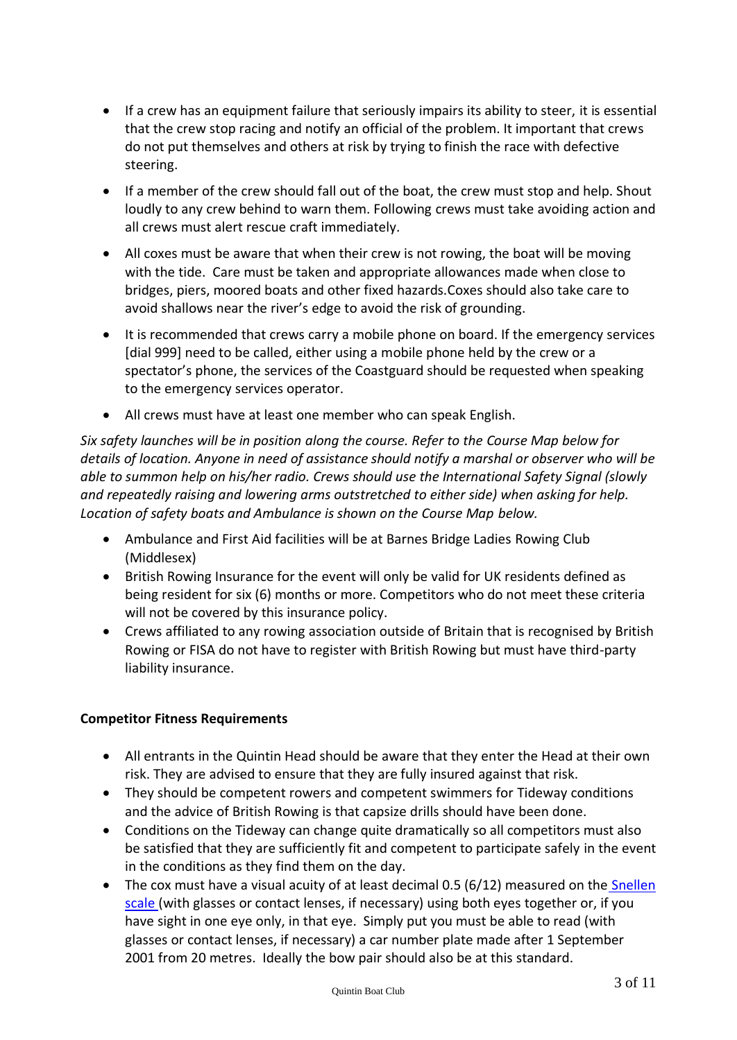- If a crew has an equipment failure that seriously impairs its ability to steer, it is essential that the crew stop racing and notify an official of the problem. It important that crews do not put themselves and others at risk by trying to finish the race with defective steering.
- If a member of the crew should fall out of the boat, the crew must stop and help. Shout loudly to any crew behind to warn them. Following crews must take avoiding action and all crews must alert rescue craft immediately.
- All coxes must be aware that when their crew is not rowing, the boat will be moving with the tide. Care must be taken and appropriate allowances made when close to bridges, piers, moored boats and other fixed hazards.Coxes should also take care to avoid shallows near the river's edge to avoid the risk of grounding.
- It is recommended that crews carry a mobile phone on board. If the emergency services [dial 999] need to be called, either using a mobile phone held by the crew or a spectator's phone, the services of the Coastguard should be requested when speaking to the emergency services operator.
- All crews must have at least one member who can speak English.

*Six safety launches will be in position along the course. Refer to the Course Map below for details of location. Anyone in need of assistance should notify a marshal or observer who will be able to summon help on his/her radio. Crews should use the International Safety Signal (slowly and repeatedly raising and lowering arms outstretched to either side) when asking for help. Location of safety boats and Ambulance is shown on the Course Map below.*

- Ambulance and First Aid facilities will be at Barnes Bridge Ladies Rowing Club (Middlesex)
- British Rowing Insurance for the event will only be valid for UK residents defined as being resident for six (6) months or more. Competitors who do not meet these criteria will not be covered by this insurance policy.
- Crews affiliated to any rowing association outside of Britain that is recognised by British Rowing or FISA do not have to register with British Rowing but must have third-party liability insurance.

## **Competitor Fitness Requirements**

- All entrants in the Quintin Head should be aware that they enter the Head at their own risk. They are advised to ensure that they are fully insured against that risk.
- They should be competent rowers and competent swimmers for Tideway conditions and the advice of British Rowing is that capsize drills should have been done.
- Conditions on the Tideway can change quite dramatically so all competitors must also be satisfied that they are sufficiently fit and competent to participate safely in the event in the conditions as they find them on the day.
- Th[e](http://www.rnib.org.uk/eye-health-registering-your-sight-loss/criteria-certification) cox must have a visual acuity of at least decimal  $0.5$  (6/12) measured on the **[Snellen](http://www.rnib.org.uk/eye-health-registering-your-sight-loss/criteria-certification)** [scale](http://www.rnib.org.uk/eye-health-registering-your-sight-loss/criteria-certification) (with glasses or contact lenses, if necessary) using both eyes together or, if you have sight in one eye only, in that eye. Simply put you must be able to read (with glasses or contact lenses, if necessary) a car number plate made after 1 September 2001 from 20 metres. Ideally the bow pair should also be at this standard.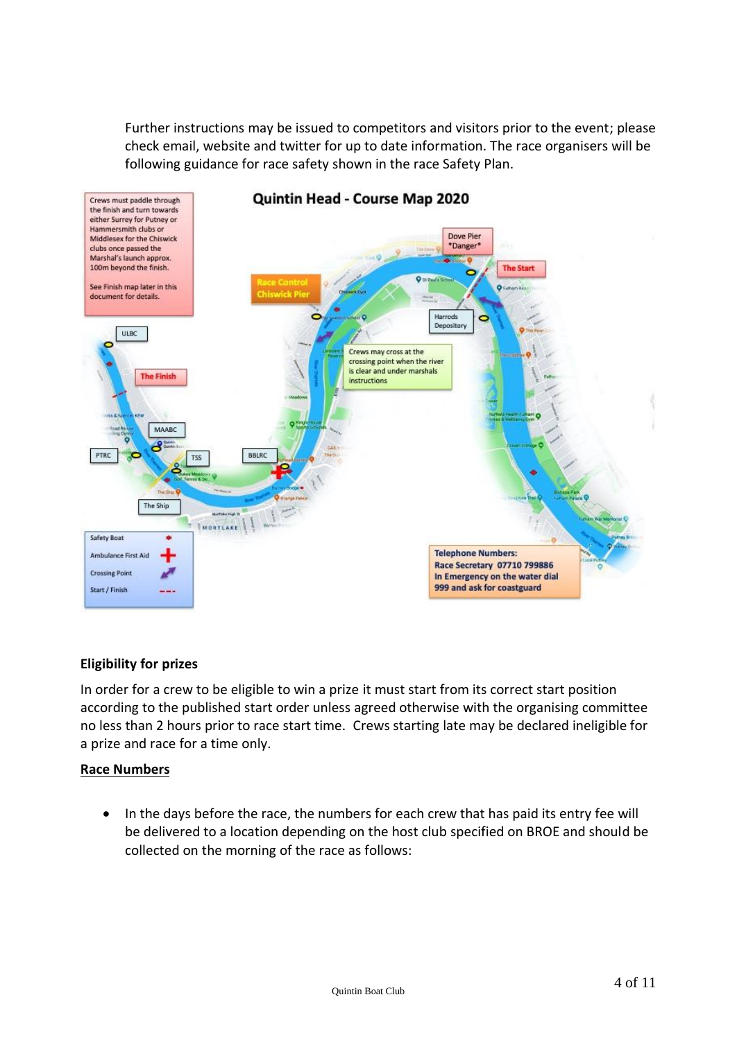Further instructions may be issued to competitors and visitors prior to the event; please check email, website and twitter for up to date information. The race organisers will be following guidance for race safety shown in the race Safety Plan.



## Quintin Head - Course Map 2020

#### **Eligibility for prizes**

In order for a crew to be eligible to win a prize it must start from its correct start position according to the published start order unless agreed otherwise with the organising committee no less than 2 hours prior to race start time. Crews starting late may be declared ineligible for a prize and race for a time only.

#### **Race Numbers**

• In the days before the race, the numbers for each crew that has paid its entry fee will be delivered to a location depending on the host club specified on BROE and should be collected on the morning of the race as follows: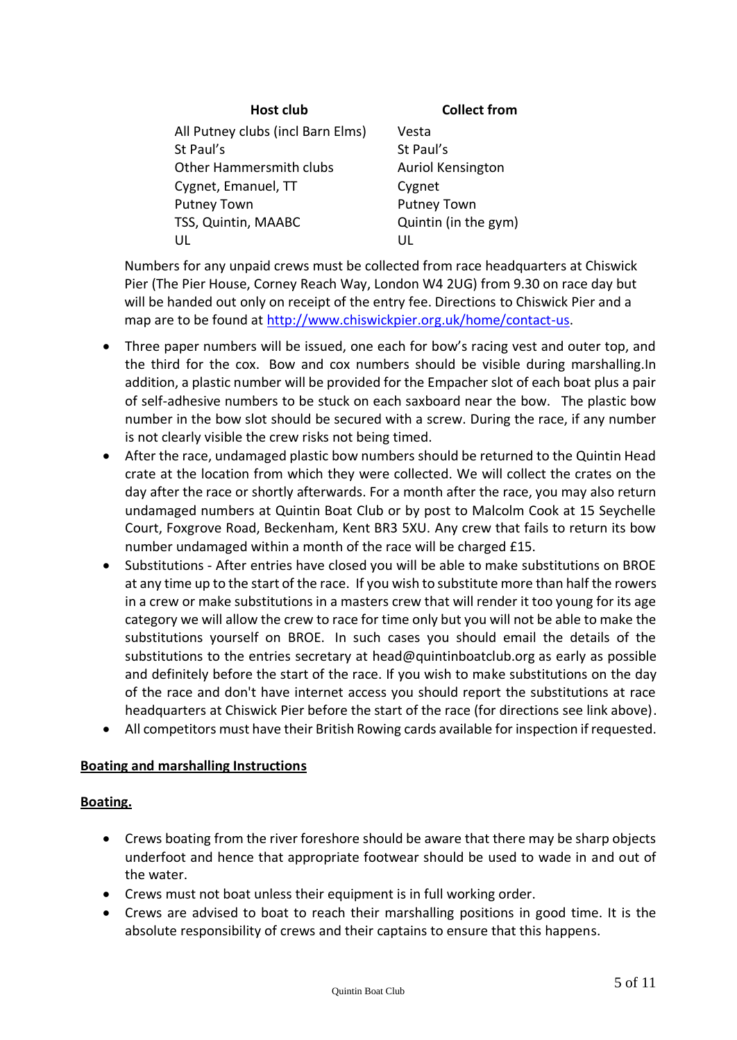**Host club Collect from**

All Putney clubs (incl Barn Elms) St Paul's Other Hammersmith clubs Cygnet, Emanuel, TT Putney Town TSS, Quintin, MAABC UL

Vesta St Paul's Auriol Kensington Cygnet Putney Town Quintin (in the gym) UL

Numbers for any unpaid crews must be collected from race headquarters at Chiswick Pier (The Pier House, Corney Reach Way, London W4 2UG) from 9.30 on race day but will be handed out only on receipt of the entry fee. Directions to Chiswick Pier and a map are to be found at [http://www.chiswickpier.org.uk/home/contact-us.](http://www.chiswickpier.org.uk/home/contact-us)

- Three paper numbers will be issued, one each for bow's racing vest and outer top, and the third for the cox. Bow and cox numbers should be visible during marshalling.In addition, a plastic number will be provided for the Empacher slot of each boat plus a pair of self-adhesive numbers to be stuck on each saxboard near the bow. The plastic bow number in the bow slot should be secured with a screw. During the race, if any number is not clearly visible the crew risks not being timed.
- After the race, undamaged plastic bow numbers should be returned to the Quintin Head crate at the location from which they were collected. We will collect the crates on the day after the race or shortly afterwards. For a month after the race, you may also return undamaged numbers at Quintin Boat Club or by post to Malcolm Cook at 15 Seychelle Court, Foxgrove Road, Beckenham, Kent BR3 5XU. Any crew that fails to return its bow number undamaged within a month of the race will be charged £15.
- Substitutions After entries have closed you will be able to make substitutions on BROE at any time up to the start of the race. If you wish to substitute more than half the rowers in a crew or make substitutions in a masters crew that will render it too young for its age category we will allow the crew to race for time only but you will not be able to make the substitutions yourself on BROE. In such cases you should email the details of the substitutions to the entries secretary at [head@quintinboatclub.org](mailto:head@quintinboatclub.org) as early as possible and definitely before the start of the race. If you wish to make substitutions on the day of the race and don't have internet access you should report the substitutions at race headquarters at Chiswick Pier before the start of the race (for directions see link above).
- All competitors must have their British Rowing cards available for inspection if requested.

#### **Boating and marshalling Instructions**

#### **Boating.**

- Crews boating from the river foreshore should be aware that there may be sharp objects underfoot and hence that appropriate footwear should be used to wade in and out of the water.
- Crews must not boat unless their equipment is in full working order.
- Crews are advised to boat to reach their marshalling positions in good time. It is the absolute responsibility of crews and their captains to ensure that this happens.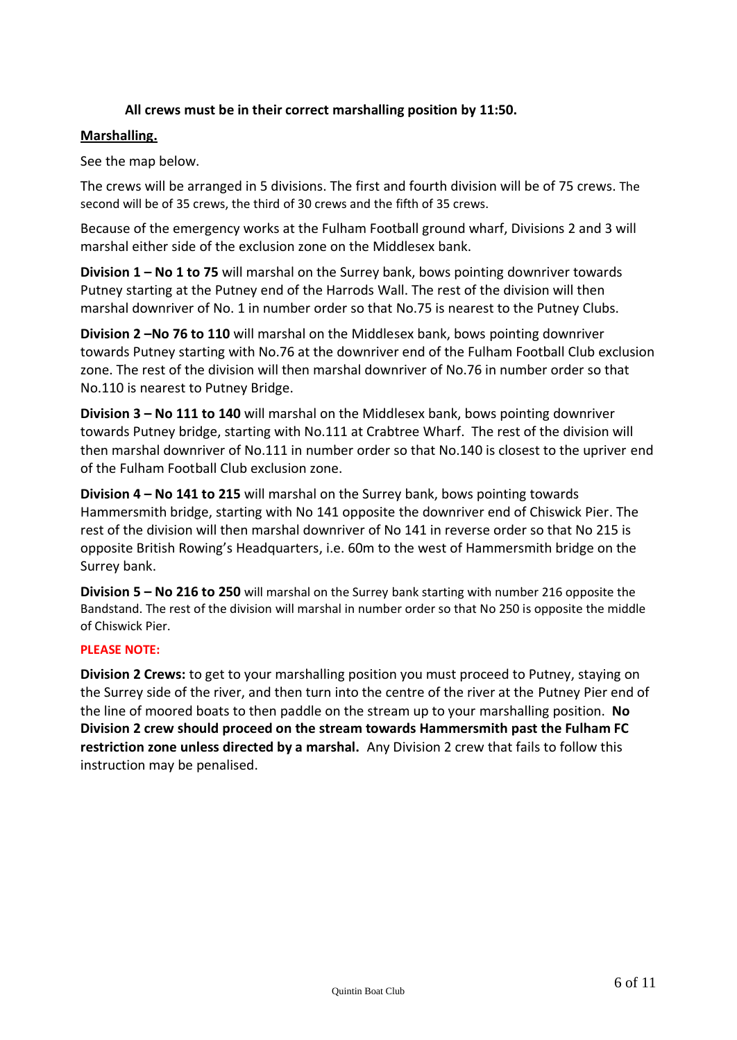#### **All crews must be in their correct marshalling position by 11:50.**

#### **Marshalling.**

See the map below.

The crews will be arranged in 5 divisions. The first and fourth division will be of 75 crews. The second will be of 35 crews, the third of 30 crews and the fifth of 35 crews.

Because of the emergency works at the Fulham Football ground wharf, Divisions 2 and 3 will marshal either side of the exclusion zone on the Middlesex bank.

**Division 1 – No 1 to 75** will marshal on the Surrey bank, bows pointing downriver towards Putney starting at the Putney end of the Harrods Wall. The rest of the division will then marshal downriver of No. 1 in number order so that No.75 is nearest to the Putney Clubs.

**Division 2 –No 76 to 110** will marshal on the Middlesex bank, bows pointing downriver towards Putney starting with No.76 at the downriver end of the Fulham Football Club exclusion zone. The rest of the division will then marshal downriver of No.76 in number order so that No.110 is nearest to Putney Bridge.

**Division 3 – No 111 to 140** will marshal on the Middlesex bank, bows pointing downriver towards Putney bridge, starting with No.111 at Crabtree Wharf. The rest of the division will then marshal downriver of No.111 in number order so that No.140 is closest to the upriver end of the Fulham Football Club exclusion zone.

**Division 4 – No 141 to 215** will marshal on the Surrey bank, bows pointing towards Hammersmith bridge, starting with No 141 opposite the downriver end of Chiswick Pier. The rest of the division will then marshal downriver of No 141 in reverse order so that No 215 is opposite British Rowing's Headquarters, i.e. 60m to the west of Hammersmith bridge on the Surrey bank.

**Division 5 – No 216 to 250** will marshal on the Surrey bank starting with number 216 opposite the Bandstand. The rest of the division will marshal in number order so that No 250 is opposite the middle of Chiswick Pier.

#### **PLEASE NOTE:**

**Division 2 Crews:** to get to your marshalling position you must proceed to Putney, staying on the Surrey side of the river, and then turn into the centre of the river at the Putney Pier end of the line of moored boats to then paddle on the stream up to your marshalling position. **No Division 2 crew should proceed on the stream towards Hammersmith past the Fulham FC restriction zone unless directed by a marshal.** Any Division 2 crew that fails to follow this instruction may be penalised.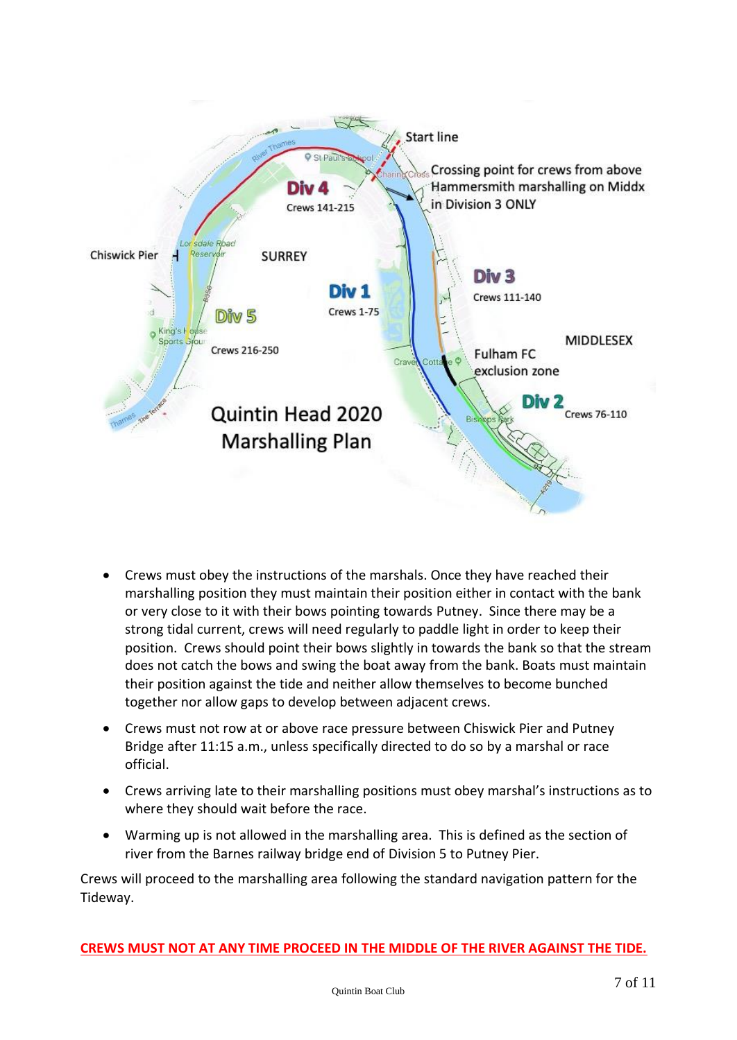

- Crews must obey the instructions of the marshals. Once they have reached their marshalling position they must maintain their position either in contact with the bank or very close to it with their bows pointing towards Putney. Since there may be a strong tidal current, crews will need regularly to paddle light in order to keep their position. Crews should point their bows slightly in towards the bank so that the stream does not catch the bows and swing the boat away from the bank. Boats must maintain their position against the tide and neither allow themselves to become bunched together nor allow gaps to develop between adjacent crews.
- Crews must not row at or above race pressure between Chiswick Pier and Putney Bridge after 11:15 a.m., unless specifically directed to do so by a marshal or race official.
- Crews arriving late to their marshalling positions must obey marshal's instructions as to where they should wait before the race.
- Warming up is not allowed in the marshalling area. This is defined as the section of river from the Barnes railway bridge end of Division 5 to Putney Pier.

Crews will proceed to the marshalling area following the standard navigation pattern for the Tideway.

**CREWS MUST NOT AT ANY TIME PROCEED IN THE MIDDLE OF THE RIVER AGAINST THE TIDE.**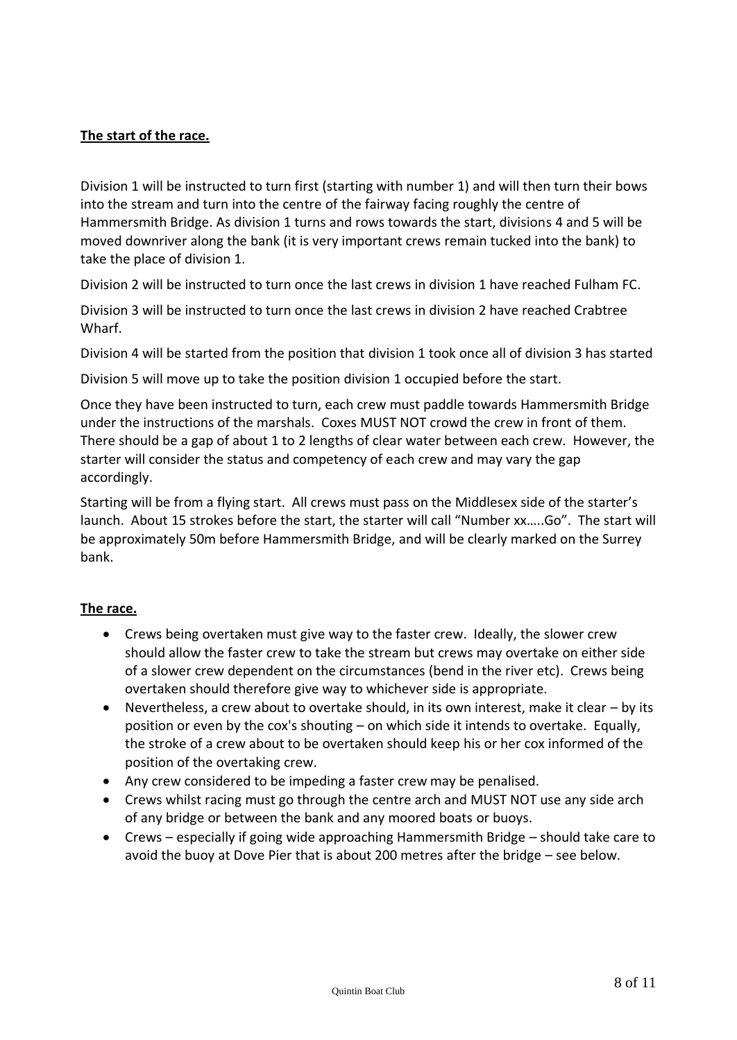#### **The start of the race.**

Division 1 will be instructed to turn first (starting with number 1) and will then turn their bows into the stream and turn into the centre of the fairway facing roughly the centre of Hammersmith Bridge. As division 1 turns and rows towards the start, divisions 4 and 5 will be moved downriver along the bank (it is very important crews remain tucked into the bank) to take the place of division 1.

Division 2 will be instructed to turn once the last crews in division 1 have reached Fulham FC.

Division 3 will be instructed to turn once the last crews in division 2 have reached Crabtree Wharf.

Division 4 will be started from the position that division 1 took once all of division 3 has started

Division 5 will move up to take the position division 1 occupied before the start.

Once they have been instructed to turn, each crew must paddle towards Hammersmith Bridge under the instructions of the marshals. Coxes MUST NOT crowd the crew in front of them. There should be a gap of about 1 to 2 lengths of clear water between each crew. However, the starter will consider the status and competency of each crew and may vary the gap accordingly.

Starting will be from a flying start. All crews must pass on the Middlesex side of the starter's launch. About 15 strokes before the start, the starter will call "Number xx…..Go". The start will be approximately 50m before Hammersmith Bridge, and will be clearly marked on the Surrey bank.

#### **The race.**

- Crews being overtaken must give way to the faster crew. Ideally, the slower crew should allow the faster crew to take the stream but crews may overtake on either side of a slower crew dependent on the circumstances (bend in the river etc). Crews being overtaken should therefore give way to whichever side is appropriate.
- Nevertheless, a crew about to overtake should, in its own interest, make it clear by its position or even by the cox's shouting – on which side it intends to overtake. Equally, the stroke of a crew about to be overtaken should keep his or her cox informed of the position of the overtaking crew.
- Any crew considered to be impeding a faster crew may be penalised.
- Crews whilst racing must go through the centre arch and MUST NOT use any side arch of any bridge or between the bank and any moored boats or buoys.
- Crews especially if going wide approaching Hammersmith Bridge should take care to avoid the buoy at Dove Pier that is about 200 metres after the bridge – see below.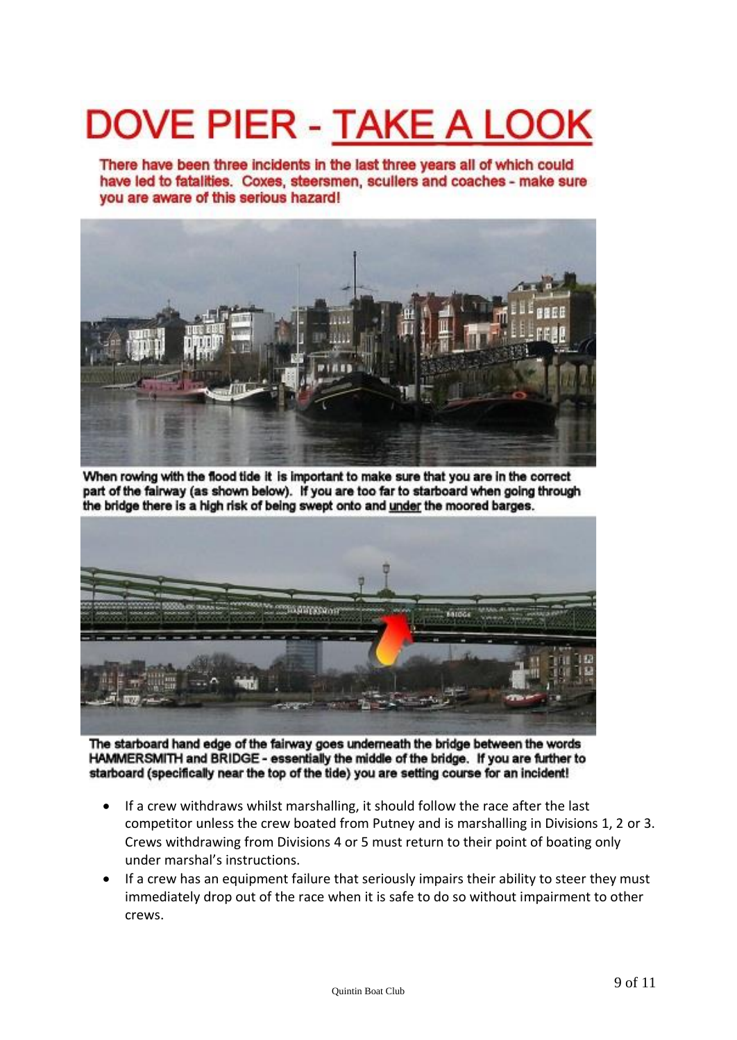# **DOVE PIER - TAKE A LOO**

There have been three incidents in the last three years all of which could have led to fatalities. Coxes, steersmen, scullers and coaches - make sure you are aware of this serious hazard!



When rowing with the flood tide it is important to make sure that you are in the correct part of the fairway (as shown below). If you are too far to starboard when going through the bridge there is a high risk of being swept onto and under the moored barges.



The starboard hand edge of the fairway goes underneath the bridge between the words HAMMERSMITH and BRIDGE - essentially the middle of the bridge. If you are further to starboard (specifically near the top of the tide) you are setting course for an incident!

- If a crew withdraws whilst marshalling, it should follow the race after the last competitor unless the crew boated from Putney and is marshalling in Divisions 1, 2 or 3. Crews withdrawing from Divisions 4 or 5 must return to their point of boating only under marshal's instructions.
- If a crew has an equipment failure that seriously impairs their ability to steer they must immediately drop out of the race when it is safe to do so without impairment to other crews.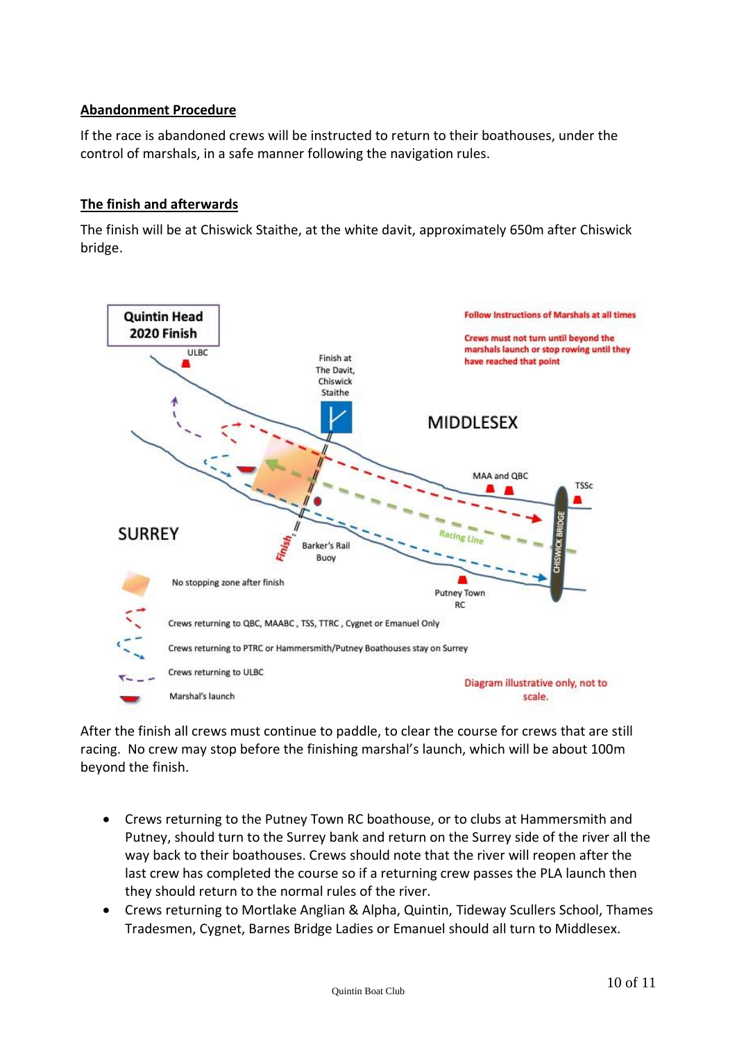#### **Abandonment Procedure**

If the race is abandoned crews will be instructed to return to their boathouses, under the control of marshals, in a safe manner following the navigation rules.

#### **The finish and afterwards**

The finish will be at Chiswick Staithe, at the white davit, approximately 650m after Chiswick bridge.



After the finish all crews must continue to paddle, to clear the course for crews that are still racing. No crew may stop before the finishing marshal's launch, which will be about 100m beyond the finish.

- Crews returning to the Putney Town RC boathouse, or to clubs at Hammersmith and Putney, should turn to the Surrey bank and return on the Surrey side of the river all the way back to their boathouses. Crews should note that the river will reopen after the last crew has completed the course so if a returning crew passes the PLA launch then they should return to the normal rules of the river.
- Crews returning to Mortlake Anglian & Alpha, Quintin, Tideway Scullers School, Thames Tradesmen, Cygnet, Barnes Bridge Ladies or Emanuel should all turn to Middlesex.